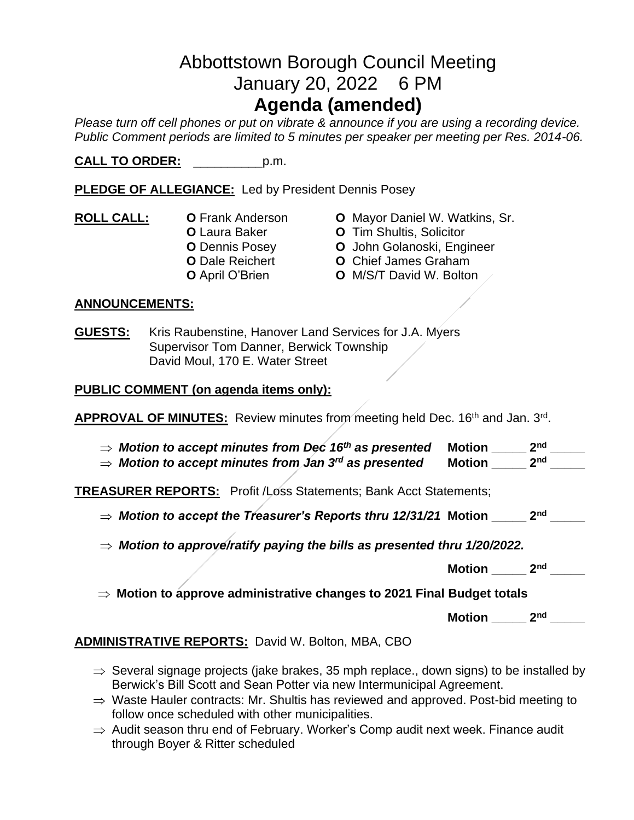# Abbottstown Borough Council Meeting January 20, 2022 6 PM **Agenda (amended)**

*Please turn off cell phones or put on vibrate & announce if you are using a recording device. Public Comment periods are limited to 5 minutes per speaker per meeting per Res. 2014-06.* 

**CALL TO ORDER:** \_\_\_\_\_\_\_\_\_\_p.m.

**PLEDGE OF ALLEGIANCE:** Led by President Dennis Posey

- **ROLL CALL: O** Frank Anderson **O** Mayor Daniel W. Watkins, Sr. **O** Dale Reichert **O** Chief James Graham
- - **O** Laura Baker **O** Tim Shultis, Solicitor
	- **O** Dennis Posey **O** John Golanoski, Engineer
		-
		- **O** April O'Brien **O** M/S/T David W. Bolton

#### **ANNOUNCEMENTS:**

**GUESTS:** Kris Raubenstine, Hanover Land Services for J.A. Myers Supervisor Tom Danner, Berwick Township David Moul, 170 E. Water Street

#### **PUBLIC COMMENT (on agenda items only):**

APPROVAL OF MINUTES: Review minutes from meeting held Dec. 16<sup>th</sup> and Jan. 3<sup>rd</sup>.

| $\Rightarrow$ Motion to accept minutes from Dec 16 <sup>th</sup> as presented | Motion        | ንnd             |
|-------------------------------------------------------------------------------|---------------|-----------------|
| $\Rightarrow$ Motion to accept minutes from Jan 3 <sup>rd</sup> as presented  | <b>Motion</b> | 2 <sub>nd</sub> |

**TREASURER REPORTS:** Profit /Loss Statements; Bank Acct Statements;

*Motion to accept the Treasurer's Reports thru 12/31/21* **Motion \_\_\_\_\_ 2nd \_\_\_\_\_**

*Motion to approve/ratify paying the bills as presented thru 1/20/2022.*

**Motion \_\_\_\_\_ 2nd \_\_\_\_\_**

**Motion to approve administrative changes to 2021 Final Budget totals**

**Motion \_\_\_\_\_ 2nd \_\_\_\_\_**

**ADMINISTRATIVE REPORTS:** David W. Bolton, MBA, CBO

- $\Rightarrow$  Several signage projects (jake brakes, 35 mph replace., down signs) to be installed by Berwick's Bill Scott and Sean Potter via new Intermunicipal Agreement.
- $\Rightarrow$  Waste Hauler contracts: Mr. Shultis has reviewed and approved. Post-bid meeting to follow once scheduled with other municipalities.
- $\Rightarrow$  Audit season thru end of February. Worker's Comp audit next week. Finance audit through Boyer & Ritter scheduled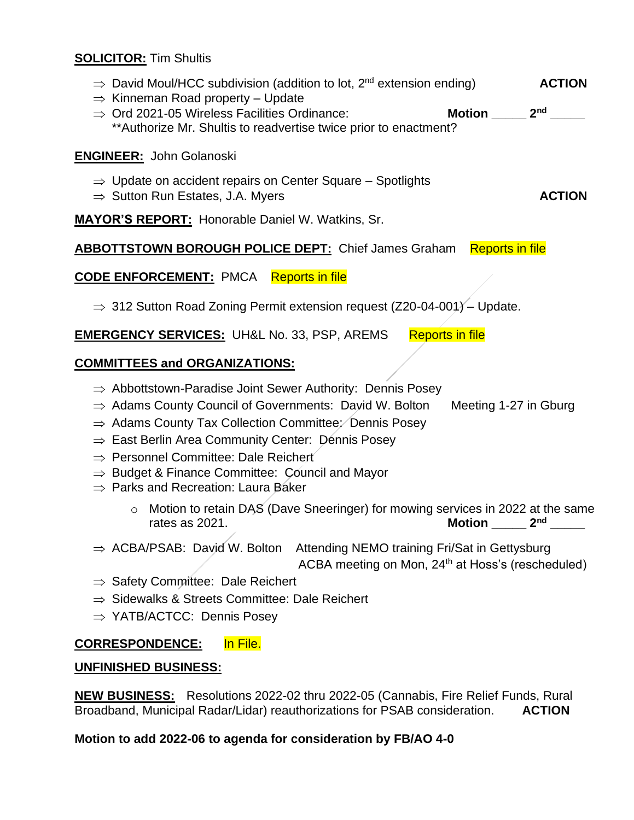#### **SOLICITOR:** Tim Shultis

- $\Rightarrow$  David Moul/HCC subdivision (addition to lot,  $2^{nd}$  extension ending) **ACTION**
- $\Rightarrow$  Kinneman Road property Update
- $\Rightarrow$  Ord 2021-05 Wireless Facilities Ordinance: **Motion** 2<sup>nd</sup> \*\*Authorize Mr. Shultis to readvertise twice prior to enactment?

#### **ENGINEER:** John Golanoski

- $\Rightarrow$  Update on accident repairs on Center Square Spotlights
- $\Rightarrow$  Sutton Run Estates, J.A. Myers **ACTION**

**MAYOR'S REPORT:** Honorable Daniel W. Watkins, Sr.

### **ABBOTTSTOWN BOROUGH POLICE DEPT:** Chief James Graham Reports in file

## **CODE ENFORCEMENT:** PMCA Reports in file

 $\Rightarrow$  312 Sutton Road Zoning Permit extension request (Z20-04-001) – Update.

## **EMERGENCY SERVICES:** UH&L No. 33, PSP, AREMS Reports in file

### **COMMITTEES and ORGANIZATIONS:**

- $\Rightarrow$  Abbottstown-Paradise Joint Sewer Authority: Dennis Posey
- $\Rightarrow$  Adams County Council of Governments: David W. Bolton Meeting 1-27 in Gburg
- $\Rightarrow$  Adams County Tax Collection Committee: Dennis Posey
- $\Rightarrow$  East Berlin Area Community Center: Dennis Posey
- $\Rightarrow$  Personnel Committee: Dale Reichert
- $\Rightarrow$  Budget & Finance Committee: Council and Mayor
- $\Rightarrow$  Parks and Recreation: Laura Baker
	- o Motion to retain DAS (Dave Sneeringer) for mowing services in 2022 at the same rates as 2021. **Motion 2<sup>nd</sup>** 2<sup>nd</sup>
- $\Rightarrow$  ACBA/PSAB: David W. Bolton Attending NEMO training Fri/Sat in Gettysburg ACBA meeting on Mon, 24<sup>th</sup> at Hoss's (rescheduled)
- $\Rightarrow$  Safety Committee: Dale Reichert
- $\Rightarrow$  Sidewalks & Streets Committee: Dale Reichert
- $\Rightarrow$  YATB/ACTCC: Dennis Posey

#### **CORRESPONDENCE:** In File.

#### **UNFINISHED BUSINESS:**

**NEW BUSINESS:** Resolutions 2022-02 thru 2022-05 (Cannabis, Fire Relief Funds, Rural Broadband, Municipal Radar/Lidar) reauthorizations for PSAB consideration. **ACTION**

#### **Motion to add 2022-06 to agenda for consideration by FB/AO 4-0**